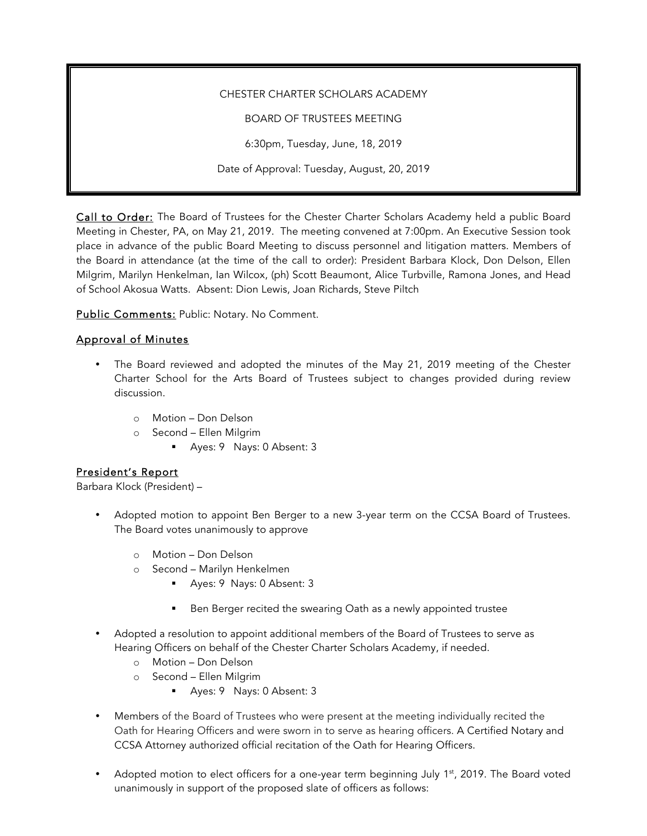#### CHESTER CHARTER SCHOLARS ACADEMY

BOARD OF TRUSTEES MEETING

6:30pm, Tuesday, June, 18, 2019

Date of Approval: Tuesday, August, 20, 2019

Call to Order: The Board of Trustees for the Chester Charter Scholars Academy held a public Board Meeting in Chester, PA, on May 21, 2019. The meeting convened at 7:00pm. An Executive Session took place in advance of the public Board Meeting to discuss personnel and litigation matters. Members of the Board in attendance (at the time of the call to order): President Barbara Klock, Don Delson, Ellen Milgrim, Marilyn Henkelman, Ian Wilcox, (ph) Scott Beaumont, Alice Turbville, Ramona Jones, and Head of School Akosua Watts. Absent: Dion Lewis, Joan Richards, Steve Piltch

Public Comments: Public: Notary. No Comment.

### Approval of Minutes

- The Board reviewed and adopted the minutes of the May 21, 2019 meeting of the Chester Charter School for the Arts Board of Trustees subject to changes provided during review discussion.
	- o Motion Don Delson
	- o Second Ellen Milgrim
		- § Ayes: 9 Nays: 0 Absent: 3

### President's Report

Barbara Klock (President) –

- Adopted motion to appoint Ben Berger to a new 3-year term on the CCSA Board of Trustees. The Board votes unanimously to approve
	- o Motion Don Delson
	- o Second Marilyn Henkelmen
		- § Ayes: 9 Nays: 0 Absent: 3
		- Ben Berger recited the swearing Oath as a newly appointed trustee
- Adopted a resolution to appoint additional members of the Board of Trustees to serve as Hearing Officers on behalf of the Chester Charter Scholars Academy, if needed.
	- o Motion Don Delson
	- o Second Ellen Milgrim
		- § Ayes: 9 Nays: 0 Absent: 3
- Members of the Board of Trustees who were present at the meeting individually recited the Oath for Hearing Officers and were sworn in to serve as hearing officers. A Certified Notary and CCSA Attorney authorized official recitation of the Oath for Hearing Officers.
- Adopted motion to elect officers for a one-year term beginning July  $1<sup>st</sup>$ , 2019. The Board voted unanimously in support of the proposed slate of officers as follows: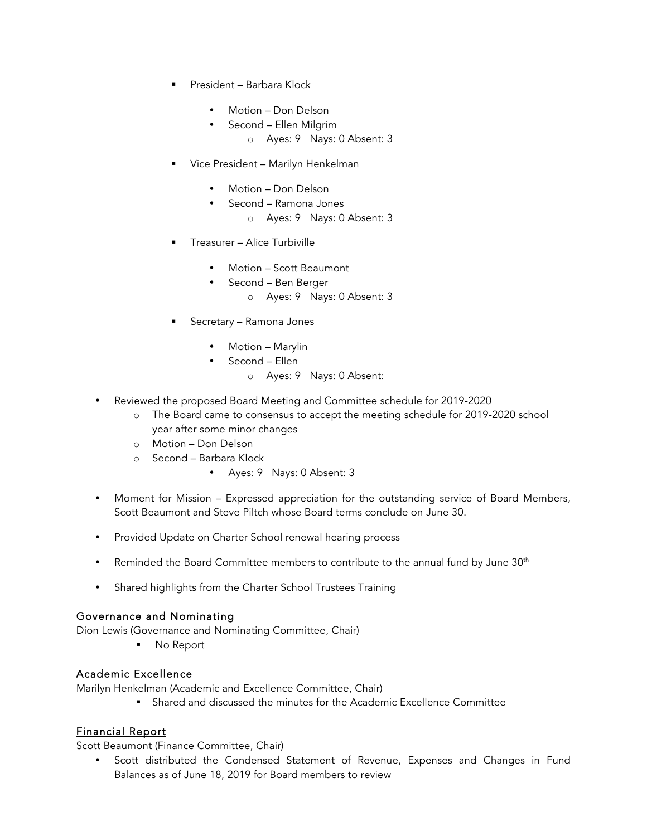- § President Barbara Klock
	- Motion Don Delson
	- Second Ellen Milgrim
		- o Ayes: 9 Nays: 0 Absent: 3
- § Vice President Marilyn Henkelman
	- Motion Don Delson
	- Second Ramona Jones
		- o Ayes: 9 Nays: 0 Absent: 3
- § Treasurer Alice Turbiville
	- Motion Scott Beaumont
	- Second Ben Berger
		- o Ayes: 9 Nays: 0 Absent: 3
- § Secretary Ramona Jones
	- Motion Marylin
	- Second Ellen
		- o Ayes: 9 Nays: 0 Absent:
- Reviewed the proposed Board Meeting and Committee schedule for 2019-2020
	- o The Board came to consensus to accept the meeting schedule for 2019-2020 school year after some minor changes
	- o Motion Don Delson
	- o Second Barbara Klock
		- Ayes: 9 Nays: 0 Absent: 3
- Moment for Mission Expressed appreciation for the outstanding service of Board Members, Scott Beaumont and Steve Piltch whose Board terms conclude on June 30.
- Provided Update on Charter School renewal hearing process
- Reminded the Board Committee members to contribute to the annual fund by June 30<sup>th</sup>
- Shared highlights from the Charter School Trustees Training

### Governance and Nominating

Dion Lewis (Governance and Nominating Committee, Chair)

■ No Report

## Academic Excellence

Marilyn Henkelman (Academic and Excellence Committee, Chair)

§ Shared and discussed the minutes for the Academic Excellence Committee

# Financial Report

Scott Beaumont (Finance Committee, Chair)

• Scott distributed the Condensed Statement of Revenue, Expenses and Changes in Fund Balances as of June 18, 2019 for Board members to review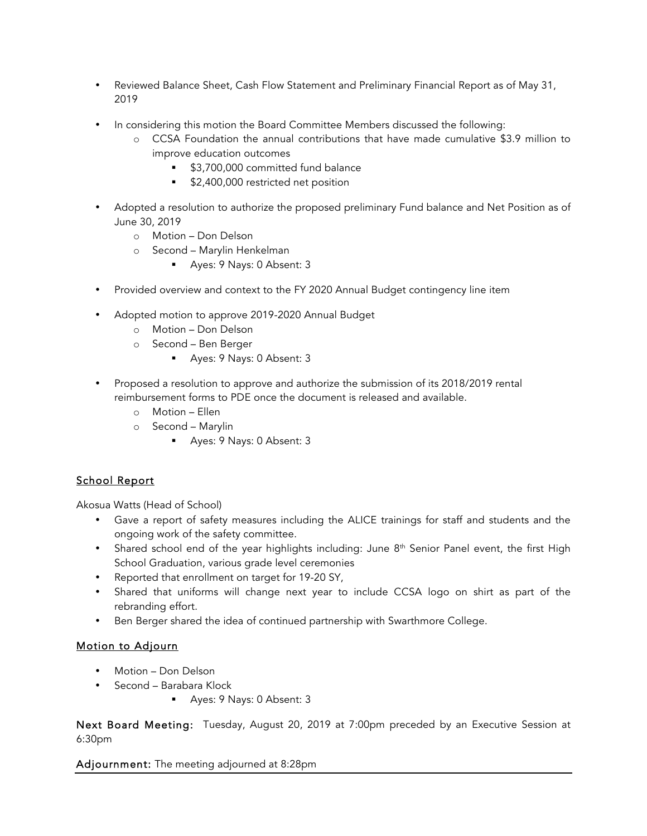- Reviewed Balance Sheet, Cash Flow Statement and Preliminary Financial Report as of May 31, 2019
- In considering this motion the Board Committee Members discussed the following:
	- o CCSA Foundation the annual contributions that have made cumulative \$3.9 million to improve education outcomes
		- § \$3,700,000 committed fund balance
		- \$2,400,000 restricted net position
- Adopted a resolution to authorize the proposed preliminary Fund balance and Net Position as of June 30, 2019
	- o Motion Don Delson
	- o Second Marylin Henkelman
		- Ayes: 9 Nays: 0 Absent: 3
- Provided overview and context to the FY 2020 Annual Budget contingency line item
- Adopted motion to approve 2019-2020 Annual Budget
	- o Motion Don Delson
	- o Second Ben Berger
		- § Ayes: 9 Nays: 0 Absent: 3
- Proposed a resolution to approve and authorize the submission of its 2018/2019 rental reimbursement forms to PDE once the document is released and available.
	- o Motion Ellen
	- o Second Marylin
		- Ayes: 9 Nays: 0 Absent: 3

## School Report

Akosua Watts (Head of School)

- Gave a report of safety measures including the ALICE trainings for staff and students and the ongoing work of the safety committee.
- Shared school end of the year highlights including: June 8<sup>th</sup> Senior Panel event, the first High School Graduation, various grade level ceremonies
- Reported that enrollment on target for 19-20 SY,
- Shared that uniforms will change next year to include CCSA logo on shirt as part of the rebranding effort.
- Ben Berger shared the idea of continued partnership with Swarthmore College.

### Motion to Adjourn

- Motion Don Delson
- Second Barabara Klock
	- Ayes: 9 Nays: 0 Absent: 3

Next Board Meeting: Tuesday, August 20, 2019 at 7:00pm preceded by an Executive Session at 6:30pm

Adjournment: The meeting adjourned at 8:28pm